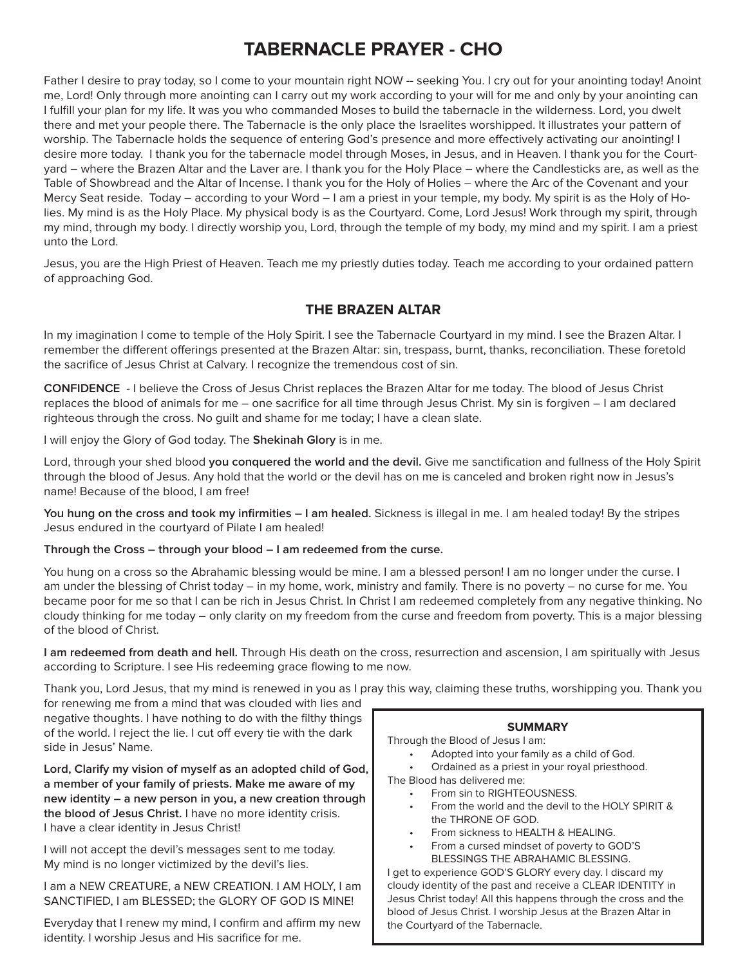# **TABERNACLE PRAYER - CHO**

Father I desire to pray today, so I come to your mountain right NOW -- seeking You. I cry out for your anointing today! Anoint me, Lord! Only through more anointing can I carry out my work according to your will for me and only by your anointing can I fulfill your plan for my life. It was you who commanded Moses to build the tabernacle in the wilderness. Lord, you dwelt there and met your people there. The Tabernacle is the only place the Israelites worshipped. It illustrates your pattern of worship. The Tabernacle holds the sequence of entering God's presence and more effectively activating our anointing! I desire more today. I thank you for the tabernacle model through Moses, in Jesus, and in Heaven. I thank you for the Courtyard – where the Brazen Altar and the Laver are. I thank you for the Holy Place – where the Candlesticks are, as well as the Table of Showbread and the Altar of Incense. I thank you for the Holy of Holies – where the Arc of the Covenant and your Mercy Seat reside. Today – according to your Word – I am a priest in your temple, my body. My spirit is as the Holy of Holies. My mind is as the Holy Place. My physical body is as the Courtyard. Come, Lord Jesus! Work through my spirit, through my mind, through my body. I directly worship you, Lord, through the temple of my body, my mind and my spirit. I am a priest unto the Lord.

Jesus, you are the High Priest of Heaven. Teach me my priestly duties today. Teach me according to your ordained pattern of approaching God.

# **THE BRAZEN ALTAR**

In my imagination I come to temple of the Holy Spirit. I see the Tabernacle Courtyard in my mind. I see the Brazen Altar. I remember the different offerings presented at the Brazen Altar: sin, trespass, burnt, thanks, reconciliation. These foretold the sacrifice of Jesus Christ at Calvary. I recognize the tremendous cost of sin.

**CONFIDENCE** - I believe the Cross of Jesus Christ replaces the Brazen Altar for me today. The blood of Jesus Christ replaces the blood of animals for me – one sacrifice for all time through Jesus Christ. My sin is forgiven – I am declared righteous through the cross. No guilt and shame for me today; I have a clean slate.

I will enjoy the Glory of God today. The **Shekinah Glory** is in me.

Lord, through your shed blood **you conquered the world and the devil.** Give me sanctification and fullness of the Holy Spirit through the blood of Jesus. Any hold that the world or the devil has on me is canceled and broken right now in Jesus's name! Because of the blood, I am free!

**You hung on the cross and took my infirmities – I am healed.** Sickness is illegal in me. I am healed today! By the stripes Jesus endured in the courtyard of Pilate I am healed!

### **Through the Cross – through your blood – I am redeemed from the curse.**

You hung on a cross so the Abrahamic blessing would be mine. I am a blessed person! I am no longer under the curse. I am under the blessing of Christ today – in my home, work, ministry and family. There is no poverty – no curse for me. You became poor for me so that I can be rich in Jesus Christ. In Christ I am redeemed completely from any negative thinking. No cloudy thinking for me today – only clarity on my freedom from the curse and freedom from poverty. This is a major blessing of the blood of Christ.

**I am redeemed from death and hell.** Through His death on the cross, resurrection and ascension, I am spiritually with Jesus according to Scripture. I see His redeeming grace flowing to me now.

Thank you, Lord Jesus, that my mind is renewed in you as I pray this way, claiming these truths, worshipping you. Thank you

for renewing me from a mind that was clouded with lies and negative thoughts. I have nothing to do with the filthy things of the world. I reject the lie. I cut off every tie with the dark side in Jesus' Name.

**Lord, Clarify my vision of myself as an adopted child of God, a member of your family of priests. Make me aware of my new identity – a new person in you, a new creation through the blood of Jesus Christ.** I have no more identity crisis. I have a clear identity in Jesus Christ!

I will not accept the devil's messages sent to me today. My mind is no longer victimized by the devil's lies.

I am a NEW CREATURE, a NEW CREATION. I AM HOLY, I am SANCTIFIED, I am BLESSED; the GLORY OF GOD IS MINE!

Everyday that I renew my mind, I confirm and affirm my new identity. I worship Jesus and His sacrifice for me.

### **SUMMARY**

- Through the Blood of Jesus I am:
	- Adopted into your family as a child of God.
	- Ordained as a priest in your royal priesthood.
- The Blood has delivered me:
	- From sin to RIGHTEOUSNESS.
	- From the world and the devil to the HOLY SPIRIT & the THRONE OF GOD.
	- From sickness to HEALTH & HEALING.
	- From a cursed mindset of poverty to GOD'S BLESSINGS THE ABRAHAMIC BLESSING.

I get to experience GOD'S GLORY every day. I discard my cloudy identity of the past and receive a CLEAR IDENTITY in Jesus Christ today! All this happens through the cross and the blood of Jesus Christ. I worship Jesus at the Brazen Altar in the Courtyard of the Tabernacle.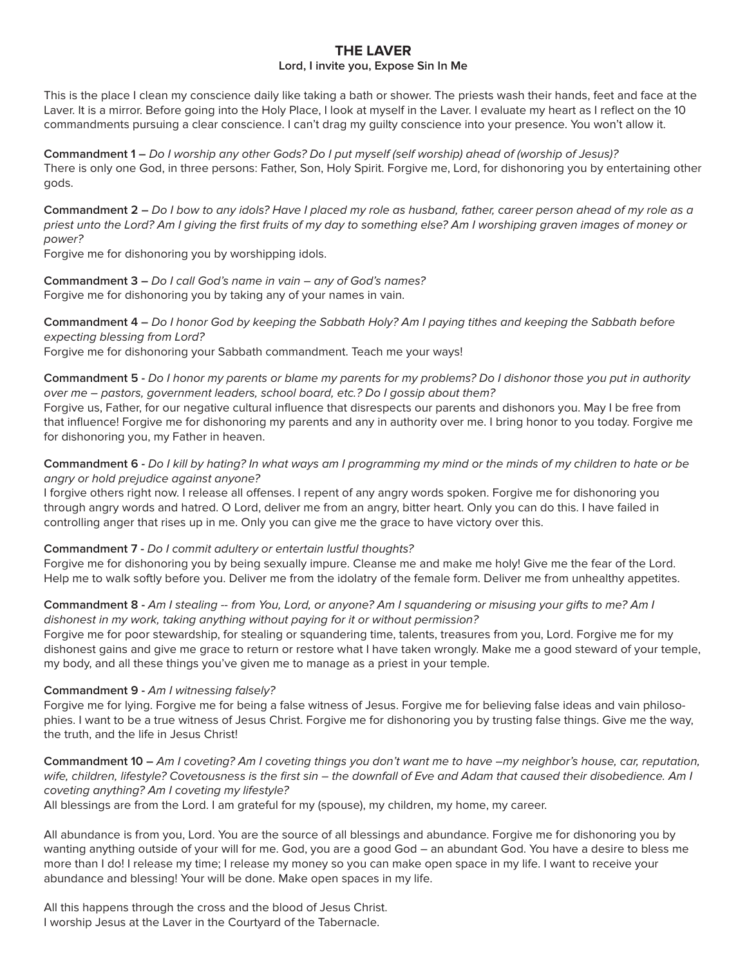# **THE LAVER**

### **Lord, I invite you, Expose Sin In Me**

This is the place I clean my conscience daily like taking a bath or shower. The priests wash their hands, feet and face at the Laver. It is a mirror. Before going into the Holy Place, I look at myself in the Laver. I evaluate my heart as I reflect on the 10 commandments pursuing a clear conscience. I can't drag my guilty conscience into your presence. You won't allow it.

**Commandment 1 –** Do I worship any other Gods? Do I put myself (self worship) ahead of (worship of Jesus)? There is only one God, in three persons: Father, Son, Holy Spirit. Forgive me, Lord, for dishonoring you by entertaining other gods.

**Commandment 2 –** Do I bow to any idols? Have I placed my role as husband, father, career person ahead of my role as a priest unto the Lord? Am I giving the first fruits of my day to something else? Am I worshiping graven images of money or power?

Forgive me for dishonoring you by worshipping idols.

**Commandment 3 –** Do I call God's name in vain – any of God's names? Forgive me for dishonoring you by taking any of your names in vain.

**Commandment 4 –** Do I honor God by keeping the Sabbath Holy? Am I paying tithes and keeping the Sabbath before expecting blessing from Lord?

Forgive me for dishonoring your Sabbath commandment. Teach me your ways!

**Commandment 5 -** Do I honor my parents or blame my parents for my problems? Do I dishonor those you put in authority over me – pastors, government leaders, school board, etc.? Do I gossip about them?

Forgive us, Father, for our negative cultural influence that disrespects our parents and dishonors you. May I be free from that influence! Forgive me for dishonoring my parents and any in authority over me. I bring honor to you today. Forgive me for dishonoring you, my Father in heaven.

### **Commandment 6 -** Do I kill by hating? In what ways am I programming my mind or the minds of my children to hate or be angry or hold prejudice against anyone?

I forgive others right now. I release all offenses. I repent of any angry words spoken. Forgive me for dishonoring you through angry words and hatred. O Lord, deliver me from an angry, bitter heart. Only you can do this. I have failed in controlling anger that rises up in me. Only you can give me the grace to have victory over this.

### **Commandment 7 -** Do I commit adultery or entertain lustful thoughts?

Forgive me for dishonoring you by being sexually impure. Cleanse me and make me holy! Give me the fear of the Lord. Help me to walk softly before you. Deliver me from the idolatry of the female form. Deliver me from unhealthy appetites.

### **Commandment 8 -** Am I stealing -- from You, Lord, or anyone? Am I squandering or misusing your gifts to me? Am I dishonest in my work, taking anything without paying for it or without permission?

Forgive me for poor stewardship, for stealing or squandering time, talents, treasures from you, Lord. Forgive me for my dishonest gains and give me grace to return or restore what I have taken wrongly. Make me a good steward of your temple, my body, and all these things you've given me to manage as a priest in your temple.

### **Commandment 9 -** Am I witnessing falsely?

Forgive me for lying. Forgive me for being a false witness of Jesus. Forgive me for believing false ideas and vain philosophies. I want to be a true witness of Jesus Christ. Forgive me for dishonoring you by trusting false things. Give me the way, the truth, and the life in Jesus Christ!

### **Commandment 10 –** Am I coveting? Am I coveting things you don't want me to have –my neighbor's house, car, reputation, wife, children, lifestyle? Covetousness is the first sin – the downfall of Eve and Adam that caused their disobedience. Am I coveting anything? Am I coveting my lifestyle?

All blessings are from the Lord. I am grateful for my (spouse), my children, my home, my career.

All abundance is from you, Lord. You are the source of all blessings and abundance. Forgive me for dishonoring you by wanting anything outside of your will for me. God, you are a good God – an abundant God. You have a desire to bless me more than I do! I release my time; I release my money so you can make open space in my life. I want to receive your abundance and blessing! Your will be done. Make open spaces in my life.

All this happens through the cross and the blood of Jesus Christ. I worship Jesus at the Laver in the Courtyard of the Tabernacle.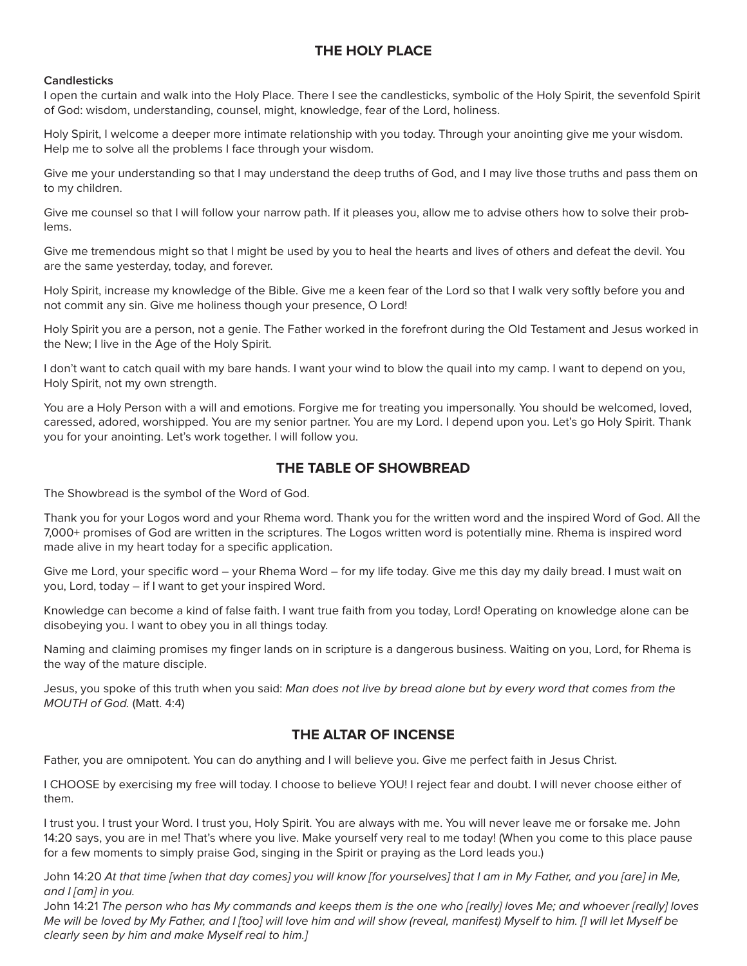# **THE HOLY PLACE**

#### **Candlesticks**

I open the curtain and walk into the Holy Place. There I see the candlesticks, symbolic of the Holy Spirit, the sevenfold Spirit of God: wisdom, understanding, counsel, might, knowledge, fear of the Lord, holiness.

Holy Spirit, I welcome a deeper more intimate relationship with you today. Through your anointing give me your wisdom. Help me to solve all the problems I face through your wisdom.

Give me your understanding so that I may understand the deep truths of God, and I may live those truths and pass them on to my children.

Give me counsel so that I will follow your narrow path. If it pleases you, allow me to advise others how to solve their problems.

Give me tremendous might so that I might be used by you to heal the hearts and lives of others and defeat the devil. You are the same yesterday, today, and forever.

Holy Spirit, increase my knowledge of the Bible. Give me a keen fear of the Lord so that I walk very softly before you and not commit any sin. Give me holiness though your presence, O Lord!

Holy Spirit you are a person, not a genie. The Father worked in the forefront during the Old Testament and Jesus worked in the New; I live in the Age of the Holy Spirit.

I don't want to catch quail with my bare hands. I want your wind to blow the quail into my camp. I want to depend on you, Holy Spirit, not my own strength.

You are a Holy Person with a will and emotions. Forgive me for treating you impersonally. You should be welcomed, loved, caressed, adored, worshipped. You are my senior partner. You are my Lord. I depend upon you. Let's go Holy Spirit. Thank you for your anointing. Let's work together. I will follow you.

## **THE TABLE OF SHOWBREAD**

The Showbread is the symbol of the Word of God.

Thank you for your Logos word and your Rhema word. Thank you for the written word and the inspired Word of God. All the 7,000+ promises of God are written in the scriptures. The Logos written word is potentially mine. Rhema is inspired word made alive in my heart today for a specific application.

Give me Lord, your specific word – your Rhema Word – for my life today. Give me this day my daily bread. I must wait on you, Lord, today – if I want to get your inspired Word.

Knowledge can become a kind of false faith. I want true faith from you today, Lord! Operating on knowledge alone can be disobeying you. I want to obey you in all things today.

Naming and claiming promises my finger lands on in scripture is a dangerous business. Waiting on you, Lord, for Rhema is the way of the mature disciple.

Jesus, you spoke of this truth when you said: Man does not live by bread alone but by every word that comes from the MOUTH of God. (Matt. 4:4)

## **THE ALTAR OF INCENSE**

Father, you are omnipotent. You can do anything and I will believe you. Give me perfect faith in Jesus Christ.

I CHOOSE by exercising my free will today. I choose to believe YOU! I reject fear and doubt. I will never choose either of them.

I trust you. I trust your Word. I trust you, Holy Spirit. You are always with me. You will never leave me or forsake me. John 14:20 says, you are in me! That's where you live. Make yourself very real to me today! (When you come to this place pause for a few moments to simply praise God, singing in the Spirit or praying as the Lord leads you.)

John 14:20 At that time [when that day comes] you will know [for yourselves] that I am in My Father, and you [are] in Me, and I [am] in you.

John 14:21 The person who has My commands and keeps them is the one who [really] loves Me; and whoever [really] loves Me will be loved by My Father, and I [too] will love him and will show (reveal, manifest) Myself to him. [I will let Myself be clearly seen by him and make Myself real to him.]